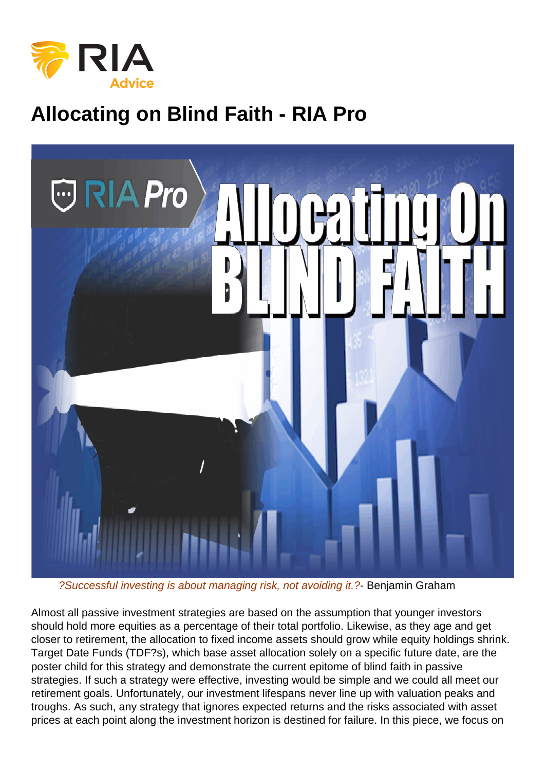# Allocating on Blind Faith - RIA Pro

?Successful investing is about managing risk, not avoiding it.?- Benjamin Graham

Almost all passive investment strategies are based on the assumption that younger investors should hold more equities as a percentage of their total portfolio. Likewise, as they age and get closer to retirement, the allocation to fixed income assets should grow while equity holdings shrink. Target Date Funds (TDF?s), which base asset allocation solely on a specific future date, are the poster child for this strategy and demonstrate the current epitome of blind faith in passive strategies. If such a strategy were effective, investing would be simple and we could all meet our retirement goals. Unfortunately, our investment lifespans never line up with valuation peaks and troughs. As such, any strategy that ignores expected returns and the risks associated with asset prices at each point along the investment horizon is destined for failure. In this piece, we focus on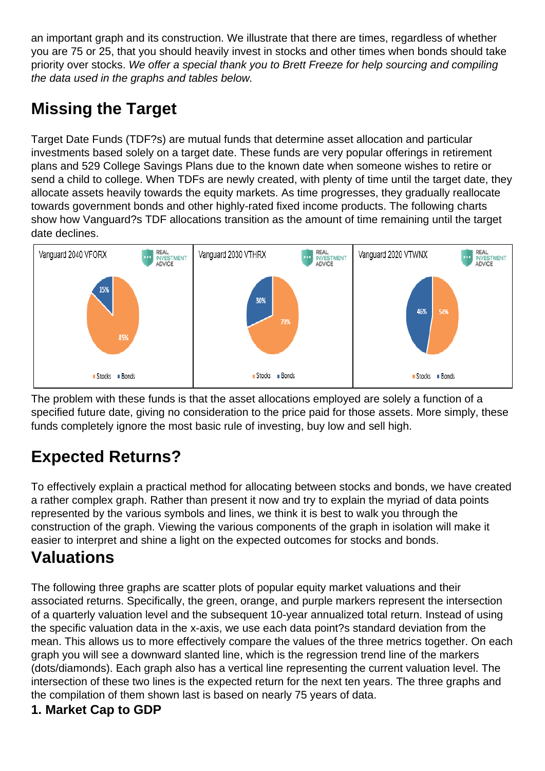an important graph and its construction. We illustrate that there are times, regardless of whether you are 75 or 25, that you should heavily invest in stocks and other times when bonds should take priority over stocks. We offer a special thank you to Brett Freeze for help sourcing and compiling the data used in the graphs and tables below.

# Missing the Target

Target Date Funds (TDF?s) are mutual funds that determine asset allocation and particular investments based solely on a target date. These funds are very popular offerings in retirement plans and 529 College Savings Plans due to the known date when someone wishes to retire or send a child to college. When TDFs are newly created, with plenty of time until the target date, they allocate assets heavily towards the equity markets. As time progresses, they gradually reallocate towards government bonds and other highly-rated fixed income products. The following charts show how Vanguard?s TDF allocations transition as the amount of time remaining until the target date declines.

The problem with these funds is that the asset allocations employed are solely a function of a specified future date, giving no consideration to the price paid for those assets. More simply, these funds completely ignore the most basic rule of investing, buy low and sell high.

# Expected Returns?

To effectively explain a practical method for allocating between stocks and bonds, we have created a rather complex graph. Rather than present it now and try to explain the myriad of data points represented by the various symbols and lines, we think it is best to walk you through the construction of the graph. Viewing the various components of the graph in isolation will make it easier to interpret and shine a light on the expected outcomes for stocks and bonds.

### Valuations

The following three graphs are scatter plots of popular equity market valuations and their associated returns. Specifically, the green, orange, and purple markers represent the intersection of a quarterly valuation level and the subsequent 10-year annualized total return. Instead of using the specific valuation data in the x-axis, we use each data point?s standard deviation from the mean. This allows us to more effectively compare the values of the three metrics together. On each graph you will see a downward slanted line, which is the regression trend line of the markers (dots/diamonds). Each graph also has a vertical line representing the current valuation level. The intersection of these two lines is the expected return for the next ten years. The three graphs and the compilation of them shown last is based on nearly 75 years of data.

1. Market Cap to GDP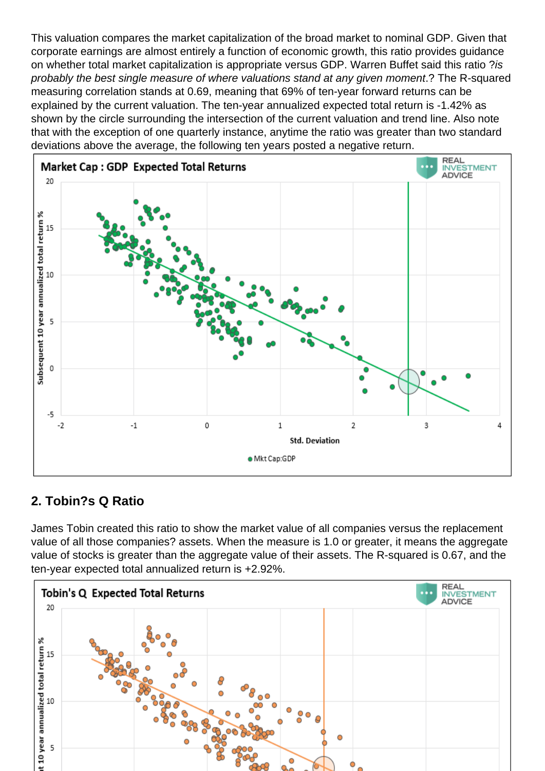This valuation compares the market capitalization of the broad market to nominal GDP. Given that corporate earnings are almost entirely a function of economic growth, this ratio provides guidance on whether total market capitalization is appropriate versus GDP. Warren Buffet said this ratio ?is probably the best single measure of where valuations stand at any given moment.? The R-squared measuring correlation stands at 0.69, meaning that 69% of ten-year forward returns can be explained by the current valuation. The ten-year annualized expected total return is -1.42% as shown by the circle surrounding the intersection of the current valuation and trend line. Also note that with the exception of one quarterly instance, anytime the ratio was greater than two standard deviations above the average, the following ten years posted a negative return.

#### 2. Tobin?s Q Ratio

James Tobin created this ratio to show the market value of all companies versus the replacement value of all those companies? assets. When the measure is 1.0 or greater, it means the aggregate value of stocks is greater than the aggregate value of their assets. The R-squared is 0.67, and the ten-year expected total annualized return is +2.92%.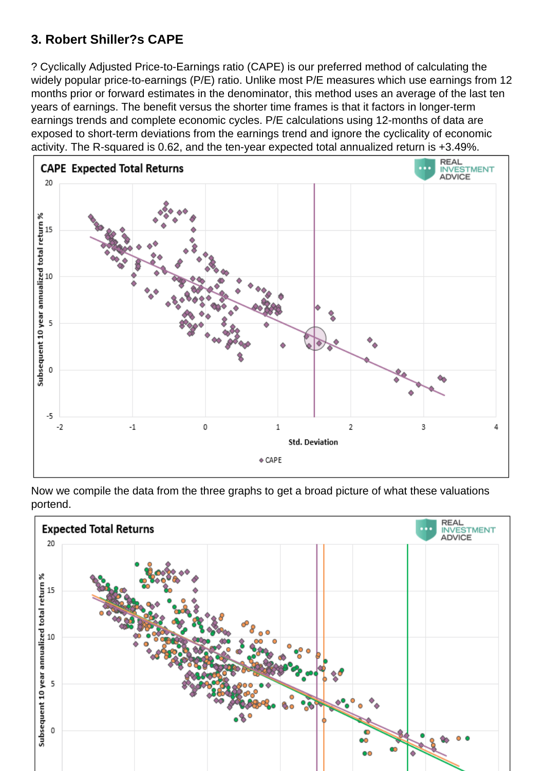#### 3. Robert Shiller?s CAPE

? Cyclically Adjusted Price-to-Earnings ratio (CAPE) is our preferred method of calculating the widely popular price-to-earnings (P/E) ratio. Unlike most P/E measures which use earnings from 12 months prior or forward estimates in the denominator, this method uses an average of the last ten years of earnings. The benefit versus the shorter time frames is that it factors in longer-term earnings trends and complete economic cycles. P/E calculations using 12-months of data are exposed to short-term deviations from the earnings trend and ignore the cyclicality of economic activity. The R-squared is 0.62, and the ten-year expected total annualized return is +3.49%.

Now we compile the data from the three graphs to get a broad picture of what these valuations portend.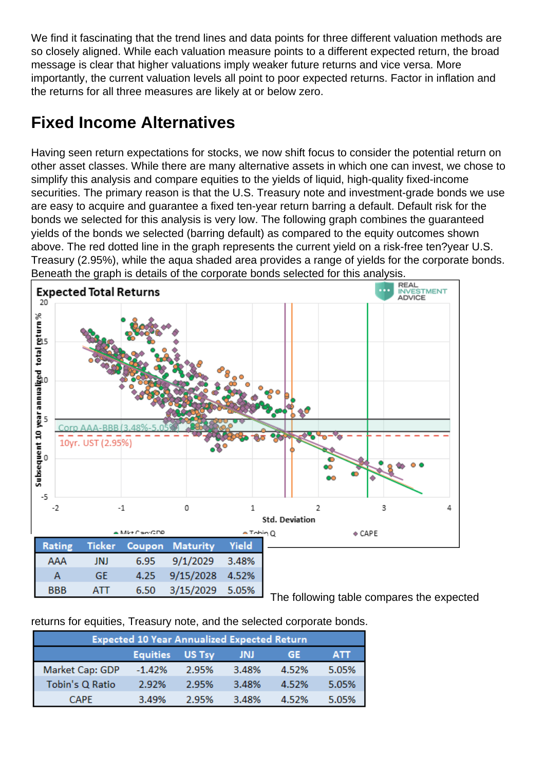We find it fascinating that the trend lines and data points for three different valuation methods are so closely aligned. While each valuation measure points to a different expected return, the broad message is clear that higher valuations imply weaker future returns and vice versa. More importantly, the current valuation levels all point to poor expected returns. Factor in inflation and the returns for all three measures are likely at or below zero.

## Fixed Income Alternatives

Having seen return expectations for stocks, we now shift focus to consider the potential return on other asset classes. While there are many alternative assets in which one can invest, we chose to simplify this analysis and compare equities to the yields of liquid, high-quality fixed-income securities. The primary reason is that the U.S. Treasury note and investment-grade bonds we use are easy to acquire and guarantee a fixed ten-year return barring a default. Default risk for the bonds we selected for this analysis is very low. The following graph combines the guaranteed yields of the bonds we selected (barring default) as compared to the equity outcomes shown above. The red dotted line in the graph represents the current yield on a risk-free ten?year U.S. Treasury (2.95%), while the aqua shaded area provides a range of yields for the corporate bonds. Beneath the graph is details of the corporate bonds selected for this analysis.

The following table compares the expected

returns for equities, Treasury note, and the selected corporate bonds.